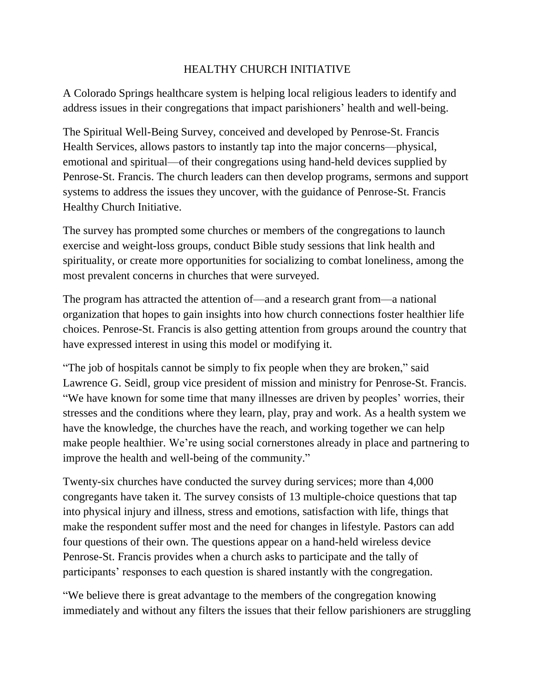## HEALTHY CHURCH INITIATIVE

A Colorado Springs healthcare system is helping local religious leaders to identify and address issues in their congregations that impact parishioners' health and well-being.

The Spiritual Well-Being Survey, conceived and developed by Penrose-St. Francis Health Services, allows pastors to instantly tap into the major concerns—physical, emotional and spiritual—of their congregations using hand-held devices supplied by Penrose-St. Francis. The church leaders can then develop programs, sermons and support systems to address the issues they uncover, with the guidance of Penrose-St. Francis Healthy Church Initiative.

The survey has prompted some churches or members of the congregations to launch exercise and weight-loss groups, conduct Bible study sessions that link health and spirituality, or create more opportunities for socializing to combat loneliness, among the most prevalent concerns in churches that were surveyed.

The program has attracted the attention of—and a research grant from—a national organization that hopes to gain insights into how church connections foster healthier life choices. Penrose-St. Francis is also getting attention from groups around the country that have expressed interest in using this model or modifying it.

"The job of hospitals cannot be simply to fix people when they are broken," said Lawrence G. Seidl, group vice president of mission and ministry for Penrose-St. Francis. "We have known for some time that many illnesses are driven by peoples' worries, their stresses and the conditions where they learn, play, pray and work. As a health system we have the knowledge, the churches have the reach, and working together we can help make people healthier. We're using social cornerstones already in place and partnering to improve the health and well-being of the community."

Twenty-six churches have conducted the survey during services; more than 4,000 congregants have taken it*.* The survey consists of 13 multiple-choice questions that tap into physical injury and illness, stress and emotions, satisfaction with life, things that make the respondent suffer most and the need for changes in lifestyle. Pastors can add four questions of their own. The questions appear on a hand-held wireless device Penrose-St. Francis provides when a church asks to participate and the tally of participants' responses to each question is shared instantly with the congregation.

"We believe there is great advantage to the members of the congregation knowing immediately and without any filters the issues that their fellow parishioners are struggling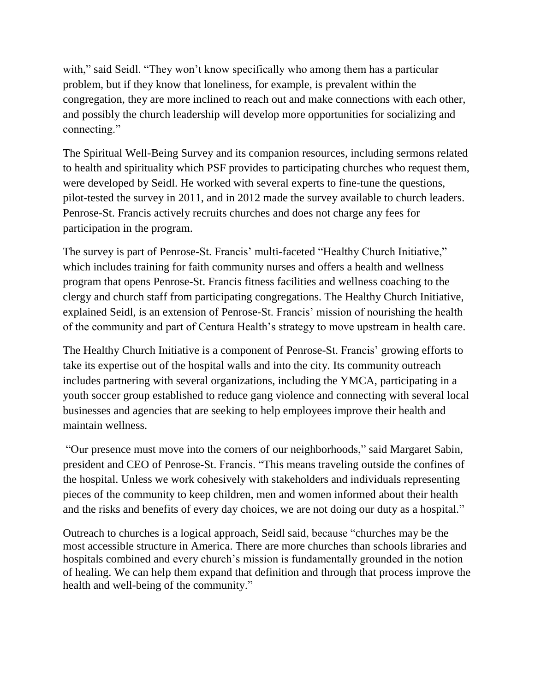with," said Seidl. "They won't know specifically who among them has a particular problem, but if they know that loneliness, for example, is prevalent within the congregation, they are more inclined to reach out and make connections with each other, and possibly the church leadership will develop more opportunities for socializing and connecting."

The Spiritual Well-Being Survey and its companion resources, including sermons related to health and spirituality which PSF provides to participating churches who request them, were developed by Seidl. He worked with several experts to fine-tune the questions, pilot-tested the survey in 2011, and in 2012 made the survey available to church leaders. Penrose-St. Francis actively recruits churches and does not charge any fees for participation in the program.

The survey is part of Penrose-St. Francis' multi-faceted "Healthy Church Initiative," which includes training for faith community nurses and offers a health and wellness program that opens Penrose-St. Francis fitness facilities and wellness coaching to the clergy and church staff from participating congregations. The Healthy Church Initiative, explained Seidl, is an extension of Penrose-St. Francis' mission of nourishing the health of the community and part of Centura Health's strategy to move upstream in health care.

The Healthy Church Initiative is a component of Penrose-St. Francis' growing efforts to take its expertise out of the hospital walls and into the city. Its community outreach includes partnering with several organizations, including the YMCA, participating in a youth soccer group established to reduce gang violence and connecting with several local businesses and agencies that are seeking to help employees improve their health and maintain wellness.

"Our presence must move into the corners of our neighborhoods," said Margaret Sabin, president and CEO of Penrose-St. Francis. "This means traveling outside the confines of the hospital. Unless we work cohesively with stakeholders and individuals representing pieces of the community to keep children, men and women informed about their health and the risks and benefits of every day choices, we are not doing our duty as a hospital."

Outreach to churches is a logical approach, Seidl said, because "churches may be the most accessible structure in America. There are more churches than schools libraries and hospitals combined and every church's mission is fundamentally grounded in the notion of healing. We can help them expand that definition and through that process improve the health and well-being of the community."